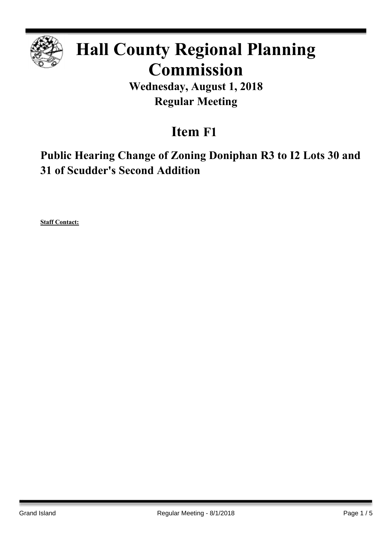

# **Hall County Regional Planning Commission**

**Wednesday, August 1, 2018 Regular Meeting**

## **Item F1**

**Public Hearing Change of Zoning Doniphan R3 to I2 Lots 30 and 31 of Scudder's Second Addition**

**Staff Contact:**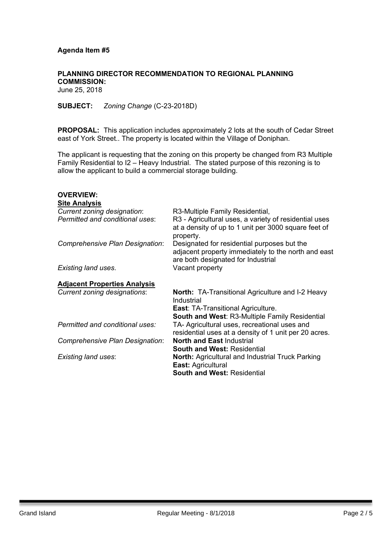#### **Agenda Item #5**

#### **PLANNING DIRECTOR RECOMMENDATION TO REGIONAL PLANNING COMMISSION:**

June 25, 2018

**SUBJECT:** *Zoning Change* (C-23-2018D)

**PROPOSAL:** This application includes approximately 2 lots at the south of Cedar Street east of York Street.. The property is located within the Village of Doniphan.

The applicant is requesting that the zoning on this property be changed from R3 Multiple Family Residential to I2 – Heavy Industrial. The stated purpose of this rezoning is to allow the applicant to build a commercial storage building.

| <b>OVERVIEW:</b>                    |                                                                                                                                          |
|-------------------------------------|------------------------------------------------------------------------------------------------------------------------------------------|
| <b>Site Analysis</b>                |                                                                                                                                          |
| Current zoning designation:         | R3-Multiple Family Residential,                                                                                                          |
| Permitted and conditional uses:     | R3 - Agricultural uses, a variety of residential uses<br>at a density of up to 1 unit per 3000 square feet of<br>property.               |
| Comprehensive Plan Designation:     | Designated for residential purposes but the<br>adjacent property immediately to the north and east<br>are both designated for Industrial |
| Existing land uses.                 | Vacant property                                                                                                                          |
| <b>Adjacent Properties Analysis</b> |                                                                                                                                          |
| Current zoning designations:        | <b>North:</b> TA-Transitional Agriculture and I-2 Heavy<br>Industrial                                                                    |
|                                     | <b>East: TA-Transitional Agriculture.</b>                                                                                                |
|                                     | <b>South and West: R3-Multiple Family Residential</b>                                                                                    |
| Permitted and conditional uses:     | TA- Agricultural uses, recreational uses and                                                                                             |
|                                     | residential uses at a density of 1 unit per 20 acres.                                                                                    |
| Comprehensive Plan Designation:     | <b>North and East Industrial</b>                                                                                                         |
|                                     | South and West: Residential                                                                                                              |
| <b>Existing land uses:</b>          | <b>North: Agricultural and Industrial Truck Parking</b>                                                                                  |
|                                     | <b>East: Agricultural</b>                                                                                                                |
|                                     | <b>South and West: Residential</b>                                                                                                       |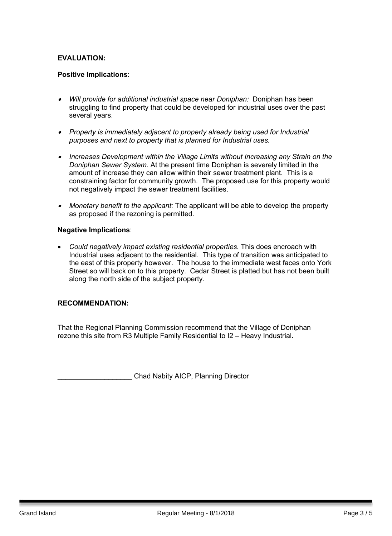#### **EVALUATION:**

#### **Positive Implications**:

- *Will provide for additional industrial space near Doniphan:* Doniphan has been struggling to find property that could be developed for industrial uses over the past several years.
- *Property is immediately adjacent to property already being used for Industrial purposes and next to property that is planned for Industrial uses.*
- *Increases Development within the Village Limits without Increasing any Strain on the Doniphan Sewer System.* At the present time Doniphan is severely limited in the amount of increase they can allow within their sewer treatment plant. This is a constraining factor for community growth. The proposed use for this property would not negatively impact the sewer treatment facilities.
- *Monetary benefit to the applicant:* The applicant will be able to develop the property as proposed if the rezoning is permitted.

#### **Negative Implications**:

 *Could negatively impact existing residential properties.* This does encroach with Industrial uses adjacent to the residential. This type of transition was anticipated to the east of this property however. The house to the immediate west faces onto York Street so will back on to this property. Cedar Street is platted but has not been built along the north side of the subject property.

#### **RECOMMENDATION:**

That the Regional Planning Commission recommend that the Village of Doniphan rezone this site from R3 Multiple Family Residential to I2 – Heavy Industrial.

Chad Nabity AICP, Planning Director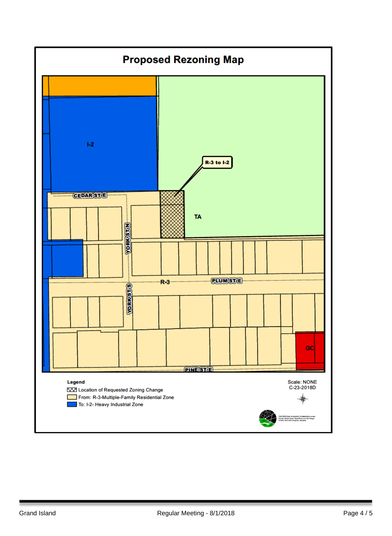